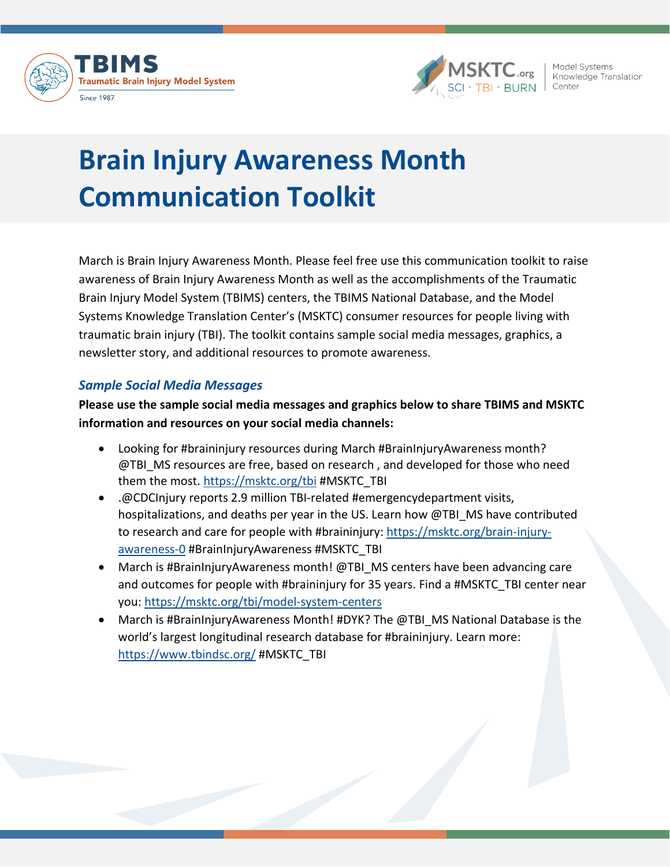



Model Systems Knowledge Translation Center

# **Brain Injury Awareness Month Communication Toolkit**

March is Brain Injury Awareness Month. Please feel free use this communication toolkit to raise awareness of Brain Injury Awareness Month as well as the accomplishments of the Traumatic Brain Injury Model System (TBIMS) centers, the TBIMS National Database, and the Model Systems Knowledge Translation Center's (MSKTC) consumer resources for people living with traumatic brain injury (TBI). The toolkit contains sample social media messages, graphics, a newsletter story, and additional resources to promote awareness.

# *Sample Social Media Messages*

**Please use the sample social media messages and graphics below to share TBIMS and MSKTC information and resources on your social media channels:**

- Looking for #braininjury resources during March #BrainInjuryAwareness month? @TBI\_MS resources are free, based on research, and developed for those who need them the most.<https://msktc.org/tbi> #MSKTC\_TBI
- .@CDCInjury reports 2.9 million TBI-related #emergencydepartment visits, hospitalizations, and deaths per year in the US. Learn how @TBI\_MS have contributed to research and care for people with #braininjury: [https://msktc.org/brain-injury](https://msktc.org/brain-injury-awareness-0)[awareness-0](https://msktc.org/brain-injury-awareness-0) #BrainInjuryAwareness #MSKTC\_TBI
- March is #BrainInjuryAwareness month! @TBI\_MS centers have been advancing care and outcomes for people with #braininjury for 35 years. Find a #MSKTC\_TBI center near you:<https://msktc.org/tbi/model-system-centers>
- March is #BrainInjuryAwareness Month! #DYK? The @TBI\_MS National Database is the world's largest longitudinal research database for #braininjury. Learn more: <https://www.tbindsc.org/> #MSKTC\_TBI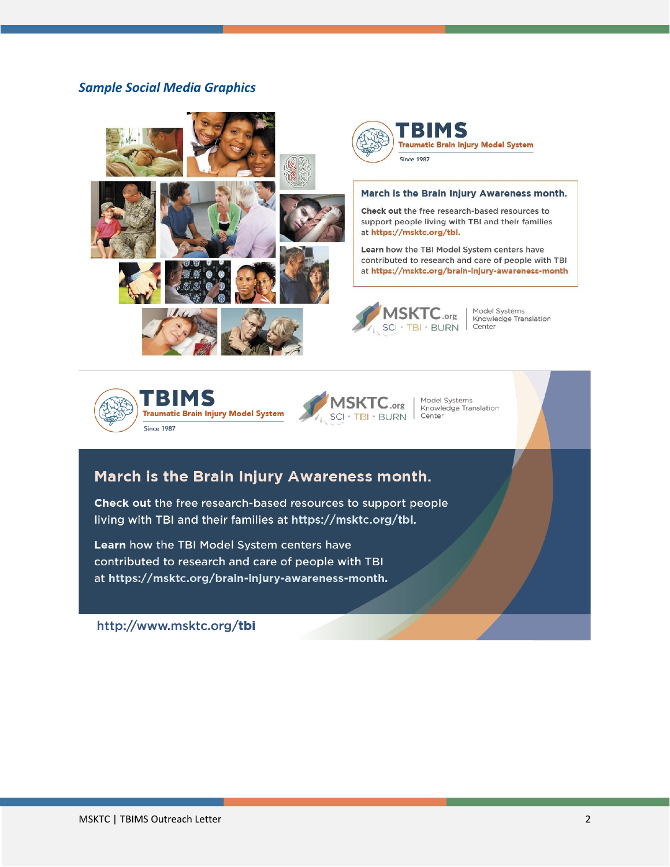## *Sample Social Media Graphics*





#### March is the Brain Injury Awareness month.

Check out the free research-based resources to support people living with TBI and their families at https://msktc.org/tbi.

Learn how the TBI Model System centers have contributed to research and care of people with TBI at https://msktc.org/brain-injury-awareness-month



Model Systems<br>Knowledge Translation Center





Model Systems Knowledge Translation Center

# March is the Brain Injury Awareness month.

Check out the free research-based resources to support people living with TBI and their families at https://msktc.org/tbi.

Learn how the TBI Model System centers have contributed to research and care of people with TBI at https://msktc.org/brain-injury-awareness-month.

http://www.msktc.org/tbi